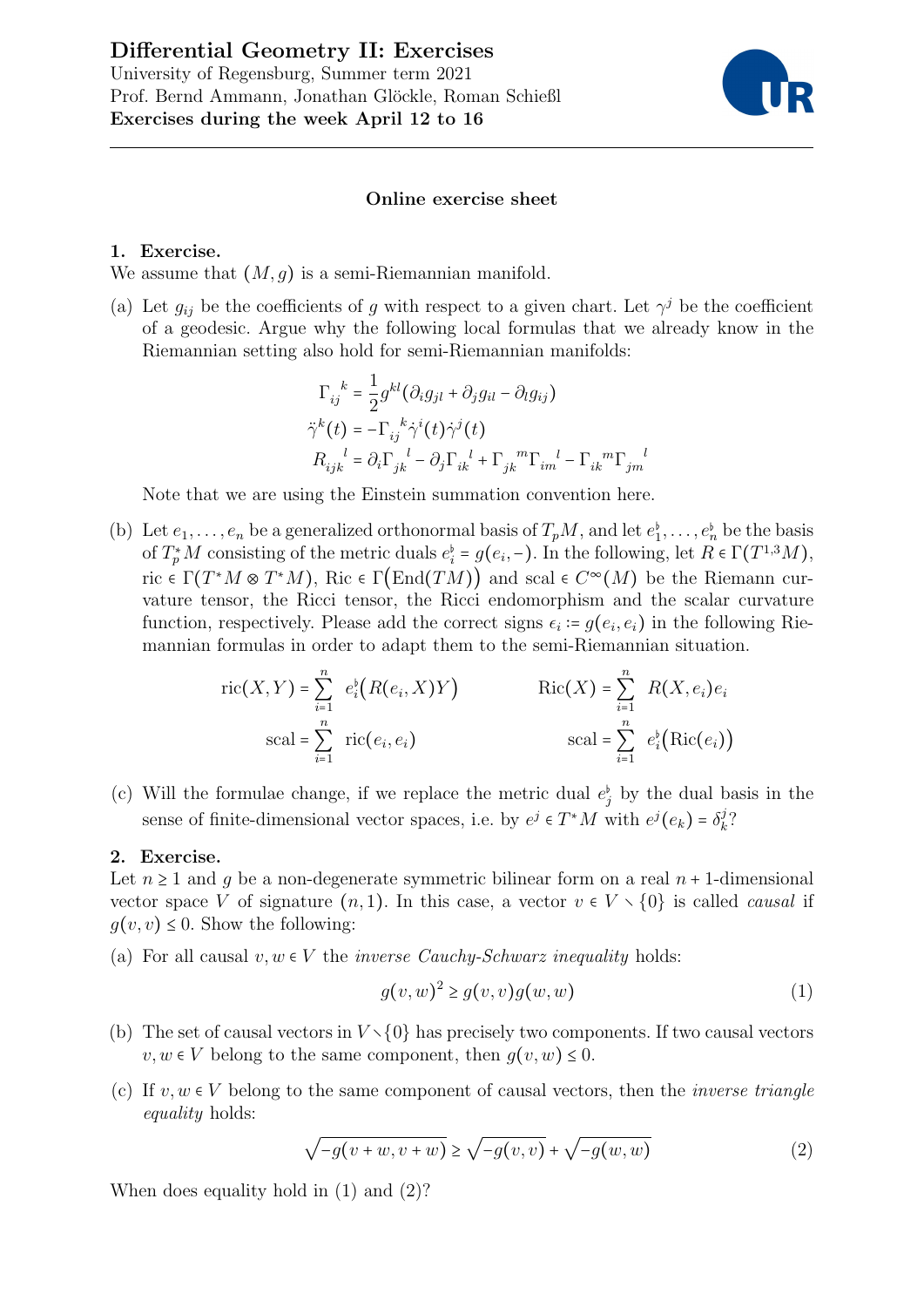

## Online exercise sheet

## 1. Exercise.

We assume that  $(M, g)$  is a semi-Riemannian manifold.

(a) Let  $g_{ij}$  be the coefficients of g with respect to a given chart. Let  $\gamma^j$  be the coefficient of a geodesic. Argue why the following local formulas that we already know in the Riemannian setting also hold for semi-Riemannian manifolds:

$$
\Gamma_{ij}^{\ \ k} = \frac{1}{2} g^{kl} (\partial_i g_{jl} + \partial_j g_{il} - \partial_l g_{ij})
$$
  

$$
\ddot{\gamma}^k(t) = -\Gamma_{ij}^{\ \ k} \dot{\gamma}^i(t) \dot{\gamma}^j(t)
$$
  

$$
R_{ijk}^{\ \ l} = \partial_i \Gamma_{jk}^{\ \ l} - \partial_j \Gamma_{ik}^{\ \ l} + \Gamma_{jk}^{\ \ m} \Gamma_{im}^{\ \ l} - \Gamma_{ik}^{\ \ m} \Gamma_{jm}^{\ \ l}
$$

Note that we are using the Einstein summation convention here.

(b) Let  $e_1, \ldots, e_n$  be a generalized orthonormal basis of  $T_pM$ , and let  $e_1^{\flat}, \ldots, e_n^{\flat}$  be the basis of  $T_p^*M$  consisting of the metric duals  $e_i^{\flat} = g(e_i, -)$ . In the following, let  $R \in \Gamma(T^{1,3}M)$ , ric  $\in \Gamma(T^*M \otimes T^*M)$ , Ric  $\in \Gamma(\text{End}(TM))$  and scal  $\in C^{\infty}(M)$  be the Riemann curvature tensor, the Ricci tensor, the Ricci endomorphism and the scalar curvature function, respectively. Please add the correct signs  $\epsilon_i = g(e_i, e_i)$  in the following Riemannian formulas in order to adapt them to the semi-Riemannian situation.

$$
\text{ric}(X, Y) = \sum_{i=1}^{n} e_i^{\flat} (R(e_i, X)Y) \qquad \text{Ric}(X) = \sum_{i=1}^{n} R(X, e_i) e_i
$$
\n
$$
\text{scal} = \sum_{i=1}^{n} \text{ric}(e_i, e_i) \qquad \text{scal} = \sum_{i=1}^{n} e_i^{\flat} (\text{Ric}(e_i))
$$

(c) Will the formulae change, if we replace the metric dual  $e_j^{\dagger}$  by the dual basis in the sense of finite-dimensional vector spaces, i.e. by  $e^j \in T^*M$  with  $e^j(e_k) = \delta_k^j$  $\frac{j}{k}$ ?

## 2. Exercise.

Let  $n \geq 1$  and q be a non-degenerate symmetric bilinear form on a real  $n + 1$ -dimensional vector space V of signature  $(n, 1)$ . In this case, a vector  $v \in V \setminus \{0\}$  is called *causal* if  $g(v, v) \leq 0$ . Show the following:

(a) For all causal  $v, w \in V$  the *inverse Cauchy-Schwarz inequality* holds:

$$
g(v, w)^2 \ge g(v, v)g(w, w)
$$
\n<sup>(1)</sup>

- (b) The set of causal vectors in  $V \setminus \{0\}$  has precisely two components. If two causal vectors  $v, w \in V$  belong to the same component, then  $q(v, w) \leq 0$ .
- (c) If  $v, w \in V$  belong to the same component of causal vectors, then the *inverse triangle* equality holds:

$$
\sqrt{-g(v+w,v+w)} \ge \sqrt{-g(v,v)} + \sqrt{-g(w,w)}\tag{2}
$$

When does equality hold in (1) and (2)?